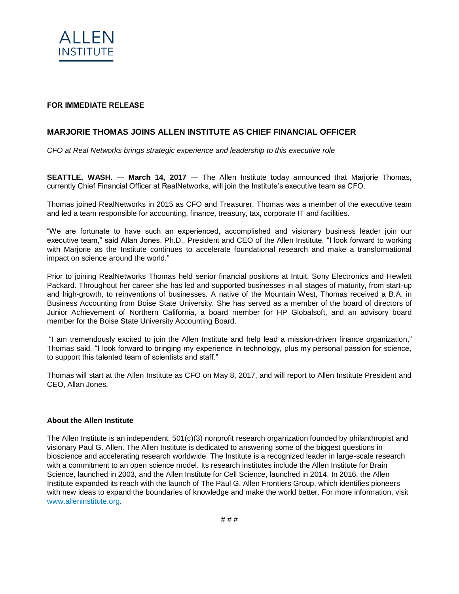

## FOR IMMEDIATE RELEASE

## **MARJORIE THOMAS JOINS ALLEN INSTITUTE AS CHIEF FINANCIAL OFFICER**

*CFO at Real Networks brings strategic experience and leadership to this executive role*

**SEATTLE, WASH.** — **March 14, 2017** — The Allen Institute today announced that Marjorie Thomas, currently Chief Financial Officer at RealNetworks, will join the Institute's executive team as CFO.

Thomas joined RealNetworks in 2015 as CFO and Treasurer. Thomas was a member of the executive team and led a team responsible for accounting, finance, treasury, tax, corporate IT and facilities.

"We are fortunate to have such an experienced, accomplished and visionary business leader join our executive team," said Allan Jones, Ph.D., President and CEO of the Allen Institute. "I look forward to working with Marjorie as the Institute continues to accelerate foundational research and make a transformational impact on science around the world."

Prior to joining RealNetworks Thomas held senior financial positions at Intuit, Sony Electronics and Hewlett Packard. Throughout her career she has led and supported businesses in all stages of maturity, from start-up and high-growth, to reinventions of businesses. A native of the Mountain West, Thomas received a B.A. in Business Accounting from Boise State University. She has served as a member of the board of directors of Junior Achievement of Northern California, a board member for HP Globalsoft, and an advisory board member for the Boise State University Accounting Board.

"I am tremendously excited to join the Allen Institute and help lead a mission-driven finance organization," Thomas said. "I look forward to bringing my experience in technology, plus my personal passion for science, to support this talented team of scientists and staff."

Thomas will start at the Allen Institute as CFO on May 8, 2017, and will report to Allen Institute President and CEO, Allan Jones.

## **About the Allen Institute**

The Allen Institute is an independent, 501(c)(3) nonprofit research organization founded by philanthropist and visionary Paul G. Allen. The Allen Institute is dedicated to answering some of the biggest questions in bioscience and accelerating research worldwide. The Institute is a recognized leader in large-scale research with a commitment to an open science model. Its research institutes include the Allen Institute for Brain Science, launched in 2003, and the Allen Institute for Cell Science, launched in 2014. In 2016, the Allen Institute expanded its reach with the launch of The Paul G. Allen Frontiers Group, which identifies pioneers with new ideas to expand the boundaries of knowledge and make the world better. For more information, visit [www.alleninstitute.org.](http://www.alleninstitute.org/)